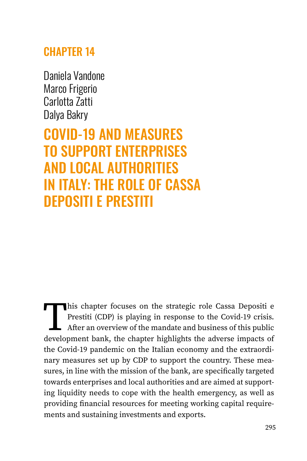# **CHAPTER 14**

Daniela Vandone Marco Frigerio Carlotta Zatti Dalya Bakry

COVID-19 AND MEASURES TO SUPPORT ENTERPRISES AND LOCAL AUTHORITIES IN ITALY: THE ROLE OF CASSA DEPOSITI E PRESTITI

This chapter focuses on the strategic role Cassa Depositi e<br>Prestiti (CDP) is playing in response to the Covid-19 crisis.<br>After an overview of the mandate and business of this public<br>development bank, the chapter highlight Prestiti (CDP) is playing in response to the Covid-19 crisis. After an overview of the mandate and business of this public development bank, the chapter highlights the adverse impacts of the Covid-19 pandemic on the Italian economy and the extraordinary measures set up by CDP to support the country. These measures, in line with the mission of the bank, are specifically targeted towards enterprises and local authorities and are aimed at supporting liquidity needs to cope with the health emergency, as well as providing financial resources for meeting working capital requirements and sustaining investments and exports.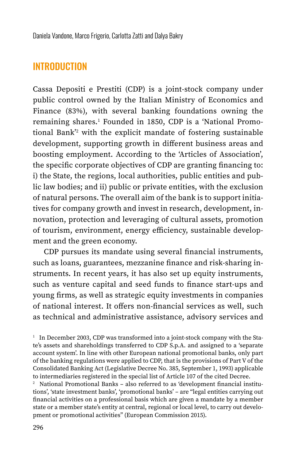### **INTRODUCTION**

Cassa Depositi e Prestiti (CDP) is a joint-stock company under public control owned by the Italian Ministry of Economics and Finance (83%), with several banking foundations owning the remaining shares.<del>'</del> Founded in 1850, CDP is a 'National Promotional Bank'<sup>2</sup> with the explicit mandate of fostering sustainable development, supporting growth in different business areas and boosting employment. According to the 'Articles of Association', the specific corporate objectives of CDP are granting financing to: i) the State, the regions, local authorities, public entities and public law bodies; and ii) public or private entities, with the exclusion of natural persons. The overall aim of the bank is to support initiatives for company growth and invest in research, development, innovation, protection and leveraging of cultural assets, promotion of tourism, environment, energy efficiency, sustainable development and the green economy.

CDP pursues its mandate using several financial instruments, such as loans, guarantees, mezzanine finance and risk-sharing instruments. In recent years, it has also set up equity instruments, such as venture capital and seed funds to finance start-ups and young firms, as well as strategic equity investments in companies of national interest. It offers non-financial services as well, such as technical and administrative assistance, advisory services and

<sup>2</sup> National Promotional Banks – also referred to as 'development financial institutions', 'state investment banks', 'promotional banks' – are "legal entities carrying out financial activities on a professional basis which are given a mandate by a member state or a member state's entity at central, regional or local level, to carry out development or promotional activities" (European Commission 2015).

 $1$  In December 2003, CDP was transformed into a joint-stock company with the State's assets and shareholdings transferred to CDP S.p.A. and assigned to a 'separate account system'. In line with other European national promotional banks, only part of the banking regulations were applied to CDP, that is the provisions of Part V of the Consolidated Banking Act (Legislative Decree No. 385, September 1, 1993) applicable to intermediaries registered in the special list of Article 107 of the cited Decree.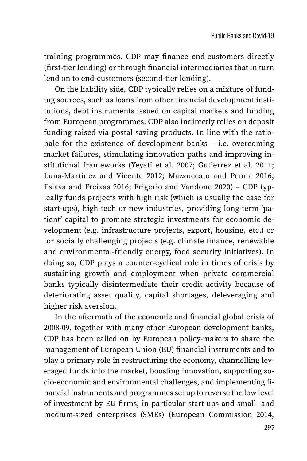training programmes. CDP may finance end-customers directly (first-tier lending) or through financial intermediaries that in turn lend on to end-customers (second-tier lending).

On the liability side, CDP typically relies on a mixture of funding sources, such as loans from other financial development institutions, debt instruments issued on capital markets and funding from European programmes. CDP also indirectly relies on deposit funding raised via postal saving products. In line with the rationale for the existence of development banks – i.e. overcoming market failures, stimulating innovation paths and improving institutional frameworks (Yeyati et al. 2007; Gutierrez et al. 2011; Luna-Martinez and Vicente 2012; Mazzuccato and Penna 2016; Eslava and Freixas 2016; Frigerio and Vandone 2020) – CDP typically funds projects with high risk (which is usually the case for start-ups), high-tech or new industries, providing long-term 'patient' capital to promote strategic investments for economic development (e.g. infrastructure projects, export, housing, etc.) or for socially challenging projects (e.g. climate finance, renewable and environmental-friendly energy, food security initiatives). In doing so, CDP plays a counter-cyclical role in times of crisis by sustaining growth and employment when private commercial banks typically disintermediate their credit activity because of deteriorating asset quality, capital shortages, deleveraging and higher risk aversion.

In the aftermath of the economic and financial global crisis of 2008-09, together with many other European development banks, CDP has been called on by European policy-makers to share the management of European Union (EU) financial instruments and to play a primary role in restructuring the economy, channelling leveraged funds into the market, boosting innovation, supporting socio-economic and environmental challenges, and implementing financial instruments and programmes set up to reverse the low level of investment by EU firms, in particular start-ups and small- and medium-sized enterprises (SMEs) (European Commission 2014,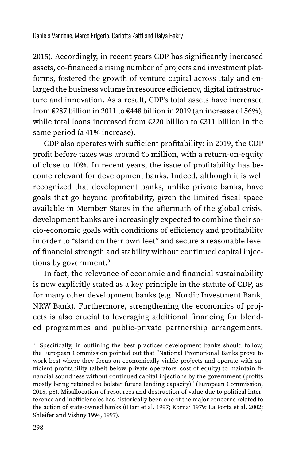2015). Accordingly, in recent years CDP has significantly increased assets, co-financed a rising number of projects and investment platforms, fostered the growth of venture capital across Italy and enlarged the business volume in resource efficiency, digital infrastructure and innovation. As a result, CDP's total assets have increased from €287 billion in 2011 to €448 billion in 2019 (an increase of 56%), while total loans increased from €220 billion to €311 billion in the same period (a 41% increase).

CDP also operates with sufficient profitability: in 2019, the CDP profit before taxes was around €5 million, with a return-on-equity of close to 10%. In recent years, the issue of profitability has become relevant for development banks. Indeed, although it is well recognized that development banks, unlike private banks, have goals that go beyond profitability, given the limited fiscal space available in Member States in the aftermath of the global crisis, development banks are increasingly expected to combine their socio-economic goals with conditions of efficiency and profitability in order to "stand on their own feet" and secure a reasonable level of financial strength and stability without continued capital injections by government.<sup>3</sup>

In fact, the relevance of economic and financial sustainability is now explicitly stated as a key principle in the statute of CDP, as for many other development banks (e.g. Nordic Investment Bank, NRW Bank). Furthermore, strengthening the economics of projects is also crucial to leveraging additional financing for blended programmes and public-private partnership arrangements.

<sup>3</sup> Specifically, in outlining the best practices development banks should follow, the European Commission pointed out that "National Promotional Banks prove to work best where they focus on economically viable projects and operate with sufficient profitability (albeit below private operators' cost of equity) to maintain financial soundness without continued capital injections by the government (profits mostly being retained to bolster future lending capacity)" (European Commission, 2015, p5). Misallocation of resources and destruction of value due to political interference and inefficiencies has historically been one of the major concerns related to the action of state-owned banks ((Hart et al. 1997; Kornai 1979; La Porta et al. 2002; Shleifer and Vishny 1994, 1997).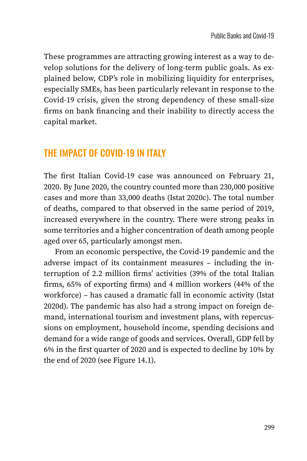These programmes are attracting growing interest as a way to develop solutions for the delivery of long-term public goals. As explained below, CDP's role in mobilizing liquidity for enterprises, especially SMEs, has been particularly relevant in response to the Covid-19 crisis, given the strong dependency of these small-size firms on bank financing and their inability to directly access the capital market.

### THE IMPACT OF COVID-19 IN ITALY

The first Italian Covid-19 case was announced on February 21, 2020. By June 2020, the country counted more than 230,000 positive cases and more than 33,000 deaths (Istat 2020c). The total number of deaths, compared to that observed in the same period of 2019, increased everywhere in the country. There were strong peaks in some territories and a higher concentration of death among people aged over 65, particularly amongst men.

From an economic perspective, the Covid-19 pandemic and the adverse impact of its containment measures – including the interruption of 2.2 million firms' activities (39% of the total Italian firms, 65% of exporting firms) and 4 million workers (44% of the workforce) – has caused a dramatic fall in economic activity (Istat 2020d). The pandemic has also had a strong impact on foreign demand, international tourism and investment plans, with repercussions on employment, household income, spending decisions and demand for a wide range of goods and services. Overall, GDP fell by 6% in the first quarter of 2020 and is expected to decline by 10% by the end of 2020 (see Figure 14.1).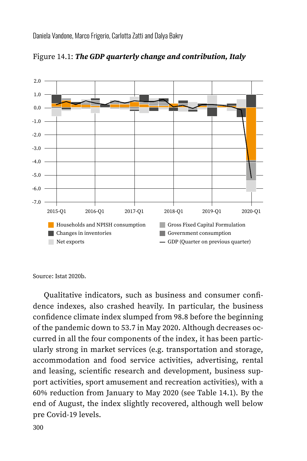Daniela Vandone, Marco Frigerio, Carlotta Zatti and Dalya Bakry



Figure 14.1: *The GDP quarterly change and contribution, Italy*

Source: Istat 2020b.

Qualitative indicators, such as business and consumer confidence indexes, also crashed heavily. In particular, the business confidence climate index slumped from 98.8 before the beginning of the pandemic down to 53.7 in May 2020. Although decreases occurred in all the four components of the index, it has been particularly strong in market services (e.g. transportation and storage, accommodation and food service activities, advertising, rental and leasing, scientific research and development, business support activities, sport amusement and recreation activities), with a 60% reduction from January to May 2020 (see Table 14.1). By the end of August, the index slightly recovered, although well below pre Covid-19 levels.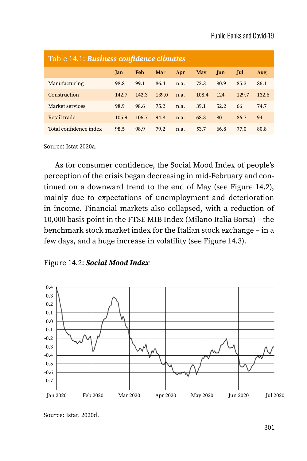| Table 14.1: Business confidence climates |       |       |       |      |       |      |       |       |
|------------------------------------------|-------|-------|-------|------|-------|------|-------|-------|
|                                          | Jan   | Feb   | Mar   | Apr  | May   | Jun  | Jul   | Aug   |
| Manufacturing                            | 98.8  | 99.1  | 86.4  | n.a. | 72.3  | 80.9 | 85.3  | 86.1  |
| Construction                             | 142.7 | 142.3 | 139.0 | n.a. | 108.4 | 124  | 129.7 | 132.6 |
| Market services                          | 98.9  | 98.6  | 75.2  | n.a. | 39.1  | 52.2 | 66    | 74.7  |
| Retail trade                             | 105.9 | 106.7 | 94.8  | n.a. | 68.3  | 80   | 86.7  | 94    |
| Total confidence index                   | 98.5  | 98.9  | 79.2  | n.a. | 53.7  | 66.8 | 77.0  | 80.8  |

Source: Istat 2020a.

As for consumer confidence, the Social Mood Index of people's perception of the crisis began decreasing in mid-February and continued on a downward trend to the end of May (see Figure 14.2), mainly due to expectations of unemployment and deterioration in income. Financial markets also collapsed, with a reduction of 10,000 basis point in the FTSE MIB Index (Milano Italia Borsa) – the benchmark stock market index for the Italian stock exchange – in a few days, and a huge increase in volatility (see Figure 14.3).





Source: Istat, 2020d.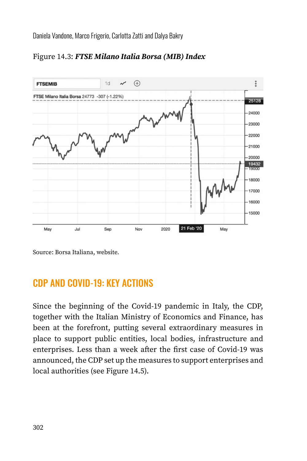

Figure 14.3: *FTSE Milano Italia Borsa (MIB) Index*

Source: Borsa Italiana, website.

## CDP AND COVID-19: KEY ACTIONS

Since the beginning of the Covid-19 pandemic in Italy, the CDP, together with the Italian Ministry of Economics and Finance, has been at the forefront, putting several extraordinary measures in place to support public entities, local bodies, infrastructure and enterprises. Less than a week after the first case of Covid-19 was announced, the CDP set up the measures to support enterprises and local authorities (see Figure 14.5).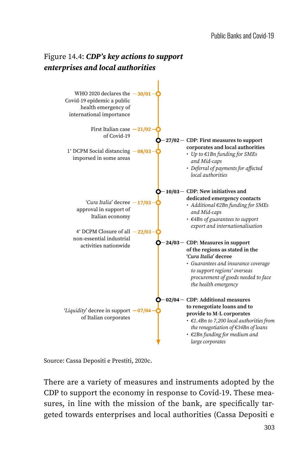

Source: Cassa Depositi e Prestiti, 2020c.

There are a variety of measures and instruments adopted by the CDP to support the economy in response to Covid-19. These measures, in line with the mission of the bank, are specifically targeted towards enterprises and local authorities (Cassa Depositi e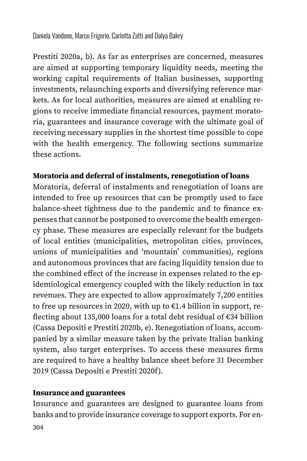Prestiti 2020a, b). As far as enterprises are concerned, measures are aimed at supporting temporary liquidity needs, meeting the working capital requirements of Italian businesses, supporting investments, relaunching exports and diversifying reference markets. As for local authorities, measures are aimed at enabling regions to receive immediate financial resources, payment moratoria, guarantees and insurance coverage with the ultimate goal of receiving necessary supplies in the shortest time possible to cope with the health emergency. The following sections summarize these actions.

#### **Moratoria and deferral of instalments, renegotiation of loans**

Moratoria, deferral of instalments and renegotiation of loans are intended to free up resources that can be promptly used to face balance-sheet tightness due to the pandemic and to finance expenses that cannot be postponed to overcome the health emergency phase. These measures are especially relevant for the budgets of local entities (municipalities, metropolitan cities, provinces, unions of municipalities and 'mountain' communities), regions and autonomous provinces that are facing liquidity tension due to the combined effect of the increase in expenses related to the epidemiological emergency coupled with the likely reduction in tax revenues. They are expected to allow approximately 7,200 entities to free up resources in 2020, with up to  $E1.4$  billion in support, reflecting about 135,000 loans for a total debt residual of €34 billion (Cassa Depositi e Prestiti 2020b, e). Renegotiation of loans, accompanied by a similar measure taken by the private Italian banking system, also target enterprises. To access these measures firms are required to have a healthy balance sheet before 31 December 2019 (Cassa Depositi e Prestiti 2020f).

#### **Insurance and guarantees**

Insurance and guarantees are designed to guarantee loans from banks and to provide insurance coverage to support exports. For en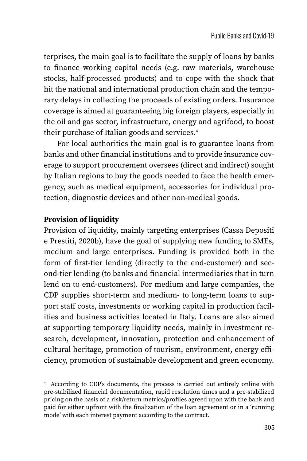terprises, the main goal is to facilitate the supply of loans by banks to finance working capital needs (e.g. raw materials, warehouse stocks, half-processed products) and to cope with the shock that hit the national and international production chain and the temporary delays in collecting the proceeds of existing orders. Insurance coverage is aimed at guaranteeing big foreign players, especially in the oil and gas sector, infrastructure, energy and agrifood, to boost their purchase of Italian goods and services.<sup>4</sup>

 For local authorities the main goal is to guarantee loans from banks and other financial institutions and to provide insurance coverage to support procurement oversees (direct and indirect) sought by Italian regions to buy the goods needed to face the health emergency, such as medical equipment, accessories for individual protection, diagnostic devices and other non-medical goods.

#### **Provision of liquidity**

Provision of liquidity, mainly targeting enterprises (Cassa Depositi e Prestiti, 2020b), have the goal of supplying new funding to SMEs, medium and large enterprises. Funding is provided both in the form of first-tier lending (directly to the end-customer) and second-tier lending (to banks and financial intermediaries that in turn lend on to end-customers). For medium and large companies, the CDP supplies short-term and medium- to long-term loans to support staff costs, investments or working capital in production facilities and business activities located in Italy. Loans are also aimed at supporting temporary liquidity needs, mainly in investment research, development, innovation, protection and enhancement of cultural heritage, promotion of tourism, environment, energy efficiency, promotion of sustainable development and green economy.

<sup>4</sup> According to CDP's documents, the process is carried out entirely online with pre-stabilized financial documentation, rapid resolution times and a pre-stabilized pricing on the basis of a risk/return metrics/profiles agreed upon with the bank and paid for either upfront with the finalization of the loan agreement or in a 'running mode' with each interest payment according to the contract.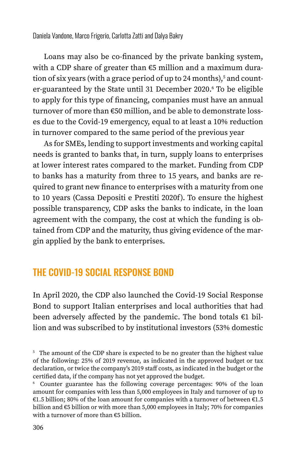Loans may also be co-financed by the private banking system, with a CDP share of greater than €5 million and a maximum duration of six years (with a grace period of up to 24 months),<sup>5</sup> and counter-guaranteed by the State until 31 December 2020.<sup>6</sup> To be eligible to apply for this type of financing, companies must have an annual turnover of more than €50 million, and be able to demonstrate losses due to the Covid-19 emergency, equal to at least a 10% reduction in turnover compared to the same period of the previous year

As for SMEs, lending to support investments and working capital needs is granted to banks that, in turn, supply loans to enterprises at lower interest rates compared to the market. Funding from CDP to banks has a maturity from three to 15 years, and banks are required to grant new finance to enterprises with a maturity from one to 10 years (Cassa Depositi e Prestiti 2020f). To ensure the highest possible transparency, CDP asks the banks to indicate, in the loan agreement with the company, the cost at which the funding is obtained from CDP and the maturity, thus giving evidence of the margin applied by the bank to enterprises.

## THE COVID-19 SOCIAL RESPONSE BOND

In April 2020, the CDP also launched the Covid-19 Social Response Bond to support Italian enterprises and local authorities that had been adversely affected by the pandemic. The bond totals  $€1$  billion and was subscribed to by institutional investors (53% domestic

<sup>&</sup>lt;sup>5</sup> The amount of the CDP share is expected to be no greater than the highest value of the following: 25% of 2019 revenue, as indicated in the approved budget or tax declaration, or twice the company's 2019 staff costs, as indicated in the budget or the certified data, if the company has not yet approved the budget.

<sup>6</sup> Counter guarantee has the following coverage percentages: 90% of the loan amount for companies with less than 5,000 employees in Italy and turnover of up to €1.5 billion; 80% of the loan amount for companies with a turnover of between €1.5 billion and €5 billion or with more than 5,000 employees in Italy; 70% for companies with a turnover of more than €5 billion.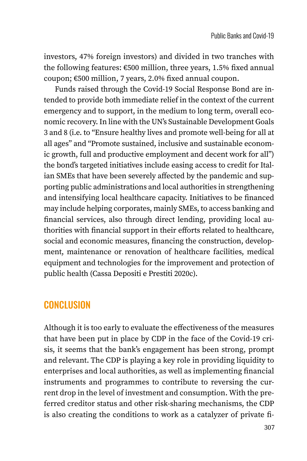investors, 47% foreign investors) and divided in two tranches with the following features: €500 million, three years, 1.5% fixed annual coupon; €500 million, 7 years, 2.0% fixed annual coupon.

Funds raised through the Covid-19 Social Response Bond are intended to provide both immediate relief in the context of the current emergency and to support, in the medium to long term, overall economic recovery. In line with the UN's Sustainable Development Goals 3 and 8 (i.e. to "Ensure healthy lives and promote well-being for all at all ages" and "Promote sustained, inclusive and sustainable economic growth, full and productive employment and decent work for all") the bond's targeted initiatives include easing access to credit for Italian SMEs that have been severely affected by the pandemic and supporting public administrations and local authorities in strengthening and intensifying local healthcare capacity. Initiatives to be financed may include helping corporates, mainly SMEs, to access banking and financial services, also through direct lending, providing local authorities with financial support in their efforts related to healthcare, social and economic measures, financing the construction, development, maintenance or renovation of healthcare facilities, medical equipment and technologies for the improvement and protection of public health (Cassa Depositi e Prestiti 2020c).

## CONCLUSION

Although it is too early to evaluate the effectiveness of the measures that have been put in place by CDP in the face of the Covid-19 crisis, it seems that the bank's engagement has been strong, prompt and relevant. The CDP is playing a key role in providing liquidity to enterprises and local authorities, as well as implementing financial instruments and programmes to contribute to reversing the current drop in the level of investment and consumption. With the preferred creditor status and other risk-sharing mechanisms, the CDP is also creating the conditions to work as a catalyzer of private fi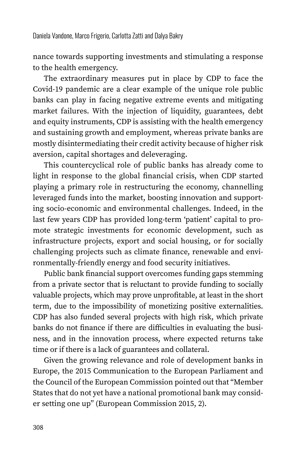nance towards supporting investments and stimulating a response to the health emergency.

The extraordinary measures put in place by CDP to face the Covid-19 pandemic are a clear example of the unique role public banks can play in facing negative extreme events and mitigating market failures. With the injection of liquidity, guarantees, debt and equity instruments, CDP is assisting with the health emergency and sustaining growth and employment, whereas private banks are mostly disintermediating their credit activity because of higher risk aversion, capital shortages and deleveraging.

This countercyclical role of public banks has already come to light in response to the global financial crisis, when CDP started playing a primary role in restructuring the economy, channelling leveraged funds into the market, boosting innovation and supporting socio-economic and environmental challenges. Indeed, in the last few years CDP has provided long-term 'patient' capital to promote strategic investments for economic development, such as infrastructure projects, export and social housing, or for socially challenging projects such as climate finance, renewable and environmentally-friendly energy and food security initiatives.

Public bank financial support overcomes funding gaps stemming from a private sector that is reluctant to provide funding to socially valuable projects, which may prove unprofitable, at least in the short term, due to the impossibility of monetizing positive externalities. CDP has also funded several projects with high risk, which private banks do not finance if there are difficulties in evaluating the business, and in the innovation process, where expected returns take time or if there is a lack of guarantees and collateral.

Given the growing relevance and role of development banks in Europe, the 2015 Communication to the European Parliament and the Council of the European Commission pointed out that "Member States that do not yet have a national promotional bank may consider setting one up" (European Commission 2015, 2).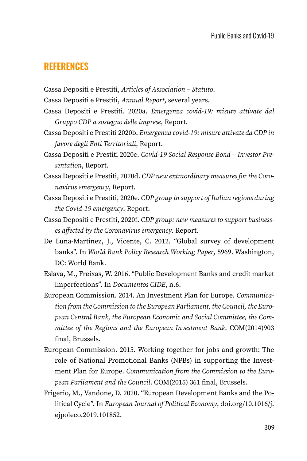### **REFERENCES**

Cassa Depositi e Prestiti, *Articles of Association – Statuto*.

Cassa Depositi e Prestiti, *Annual Report*, several years.

- Cassa Depositi e Prestiti. 2020a. *Emergenza covid-19: misure attivate dal Gruppo CDP a sostegno delle imprese*, Report.
- Cassa Depositi e Prestiti 2020b. *Emergenza covid-19: misure attivate da CDP in favore degli Enti Territoriali*, Report.
- Cassa Depositi e Prestiti 2020c. *Covid-19 Social Response Bond Investor Presentation*, Report.
- Cassa Depositi e Prestiti, 2020d. *CDP new extraordinary measures for the Coronavirus emergency*, Report.
- Cassa Depositi e Prestiti, 2020e. *CDP group in support of Italian regions during the Covid-19 emergency*, Report.
- Cassa Depositi e Prestiti, 2020f. *CDP group: new measures to support businesses affected by the Coronavirus emergency*. Report.
- De Luna-Martinez, J., Vicente, C. 2012. "Global survey of development banks". In *World Bank Policy Research Working Paper*, 5969. Washington, DC: World Bank.
- Eslava, M., Freixas, W. 2016. "Public Development Banks and credit market imperfections". In *Documentos CIDE*, n.6.
- European Commission. 2014. An Investment Plan for Europe. *Communication from the Commission to the European Parliament, the Council, the European Central Bank, the European Economic and Social Committee, the Committee of the Regions and the European Investment Bank*. COM(2014)903 final, Brussels.
- European Commission. 2015. Working together for jobs and growth: The role of National Promotional Banks (NPBs) in supporting the Investment Plan for Europe. *Communication from the Commission to the European Parliament and the Council*. COM(2015) 361 final, Brussels.
- Frigerio, M., Vandone, D. 2020. "European Development Banks and the Political Cycle". In *European Journal of Political Economy*, doi.org/10.1016/j. ejpoleco.2019.101852.